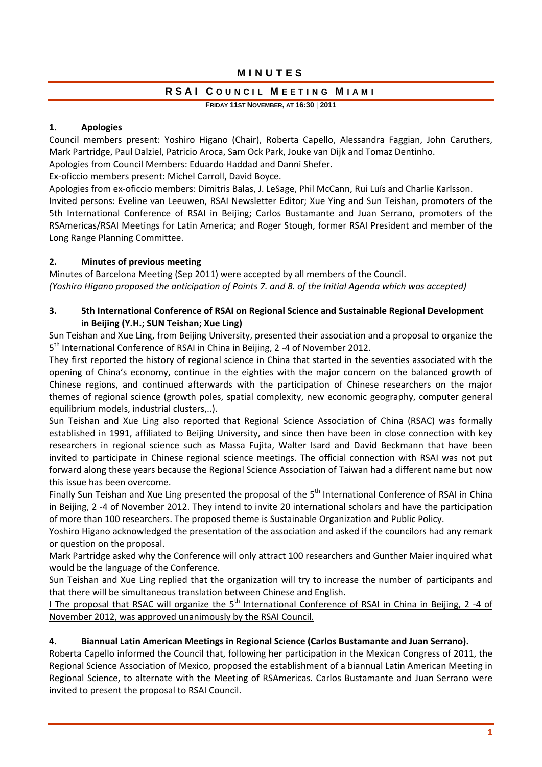## MINUTES

## RSAI COUNCIL MEETING MIAMI

**FRIDAY 11ST NOVEMBER, AT 16:30** | **2011**

### **1. Apologies**

Council members present: Yoshiro Higano (Chair), Roberta Capello, Alessandra Faggian, John Caruthers, Mark Partridge, Paul Dalziel, Patricio Aroca, Sam Ock Park, Jouke van Dijk and Tomaz Dentinho.

Apologies from Council Members: Eduardo Haddad and Danni Shefer.

Ex‐oficcio members present: Michel Carroll, David Boyce.

Apologies from ex‐oficcio members: Dimitris Balas, J. LeSage, Phil McCann, Rui Luís and Charlie Karlsson. Invited persons: Eveline van Leeuwen, RSAI Newsletter Editor; Xue Ying and Sun Teishan, promoters of the 5th International Conference of RSAI in Beijing; Carlos Bustamante and Juan Serrano, promoters of the RSAmericas/RSAI Meetings for Latin America; and Roger Stough, former RSAI President and member of the Long Range Planning Committee.

## **2. Minutes of previous meeting**

Minutes of Barcelona Meeting (Sep 2011) were accepted by all members of the Council. *(Yoshiro Higano proposed the anticipation of Points 7. and 8. of the Initial Agenda which was accepted)*

## **3. 5th International Conference of RSAI on Regional Science and Sustainable Regional Development in Beijing (Y.H.; SUN Teishan; Xue Ling)**

Sun Teishan and Xue Ling, from Beijing University, presented their association and a proposal to organize the 5<sup>th</sup> International Conference of RSAI in China in Beijing, 2 -4 of November 2012.

They first reported the history of regional science in China that started in the seventies associated with the opening of China's economy, continue in the eighties with the major concern on the balanced growth of Chinese regions, and continued afterwards with the participation of Chinese researchers on the major themes of regional science (growth poles, spatial complexity, new economic geography, computer general equilibrium models, industrial clusters,..).

Sun Teishan and Xue Ling also reported that Regional Science Association of China (RSAC) was formally established in 1991, affiliated to Beijing University, and since then have been in close connection with key researchers in regional science such as Massa Fujita, Walter Isard and David Beckmann that have been invited to participate in Chinese regional science meetings. The official connection with RSAI was not put forward along these years because the Regional Science Association of Taiwan had a different name but now this issue has been overcome.

Finally Sun Teishan and Xue Ling presented the proposal of the 5<sup>th</sup> International Conference of RSAI in China in Beijing, 2 ‐4 of November 2012. They intend to invite 20 international scholars and have the participation of more than 100 researchers. The proposed theme is Sustainable Organization and Public Policy.

Yoshiro Higano acknowledged the presentation of the association and asked if the councilors had any remark or question on the proposal.

Mark Partridge asked why the Conference will only attract 100 researchers and Gunther Maier inquired what would be the language of the Conference.

Sun Teishan and Xue Ling replied that the organization will try to increase the number of participants and that there will be simultaneous translation between Chinese and English.

I The proposal that RSAC will organize the  $5<sup>th</sup>$  International Conference of RSAI in China in Beijing, 2 -4 of November 2012, was approved unanimously by the RSAI Council.

## **4. Biannual Latin American Meetings in Regional Science (Carlos Bustamante and Juan Serrano).**

Roberta Capello informed the Council that, following her participation in the Mexican Congress of 2011, the Regional Science Association of Mexico, proposed the establishment of a biannual Latin American Meeting in Regional Science, to alternate with the Meeting of RSAmericas. Carlos Bustamante and Juan Serrano were invited to present the proposal to RSAI Council.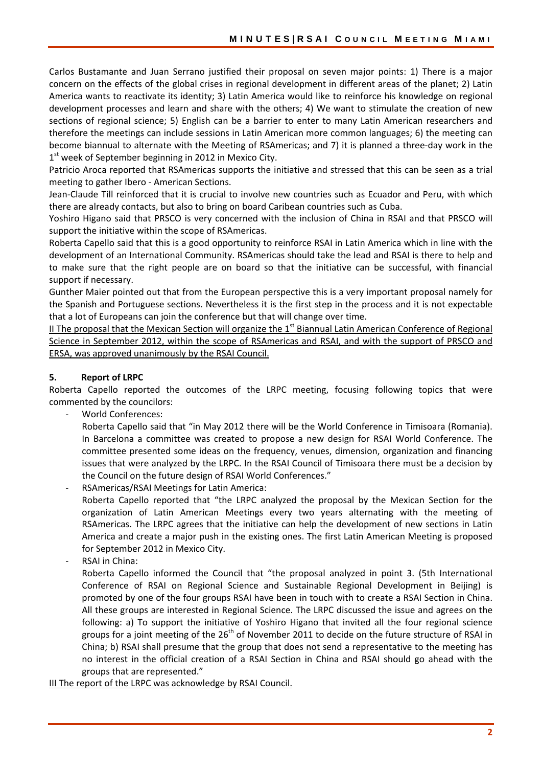Carlos Bustamante and Juan Serrano justified their proposal on seven major points: 1) There is a major concern on the effects of the global crises in regional development in different areas of the planet; 2) Latin America wants to reactivate its identity; 3) Latin America would like to reinforce his knowledge on regional development processes and learn and share with the others; 4) We want to stimulate the creation of new sections of regional science; 5) English can be a barrier to enter to many Latin American researchers and therefore the meetings can include sessions in Latin American more common languages; 6) the meeting can become biannual to alternate with the Meeting of RSAmericas; and 7) it is planned a three‐day work in the  $1<sup>st</sup>$  week of September beginning in 2012 in Mexico City.

Patricio Aroca reported that RSAmericas supports the initiative and stressed that this can be seen as a trial meeting to gather Ibero ‐ American Sections.

Jean‐Claude Till reinforced that it is crucial to involve new countries such as Ecuador and Peru, with which there are already contacts, but also to bring on board Caribean countries such as Cuba.

Yoshiro Higano said that PRSCO is very concerned with the inclusion of China in RSAI and that PRSCO will support the initiative within the scope of RSAmericas.

Roberta Capello said that this is a good opportunity to reinforce RSAI in Latin America which in line with the development of an International Community. RSAmericas should take the lead and RSAI is there to help and to make sure that the right people are on board so that the initiative can be successful, with financial support if necessary.

Gunther Maier pointed out that from the European perspective this is a very important proposal namely for the Spanish and Portuguese sections. Nevertheless it is the first step in the process and it is not expectable that a lot of Europeans can join the conference but that will change over time.

II The proposal that the Mexican Section will organize the 1<sup>st</sup> Biannual Latin American Conference of Regional Science in September 2012, within the scope of RSAmericas and RSAI, and with the support of PRSCO and ERSA, was approved unanimously by the RSAI Council.

## **5. Report of LRPC**

Roberta Capello reported the outcomes of the LRPC meeting, focusing following topics that were commented by the councilors:

‐ World Conferences:

Roberta Capello said that "in May 2012 there will be the World Conference in Timisoara (Romania). In Barcelona a committee was created to propose a new design for RSAI World Conference. The committee presented some ideas on the frequency, venues, dimension, organization and financing issues that were analyzed by the LRPC. In the RSAI Council of Timisoara there must be a decision by the Council on the future design of RSAI World Conferences."

‐ RSAmericas/RSAI Meetings for Latin America:

Roberta Capello reported that "the LRPC analyzed the proposal by the Mexican Section for the organization of Latin American Meetings every two years alternating with the meeting of RSAmericas. The LRPC agrees that the initiative can help the development of new sections in Latin America and create a major push in the existing ones. The first Latin American Meeting is proposed for September 2012 in Mexico City.

‐ RSAI in China:

Roberta Capello informed the Council that "the proposal analyzed in point 3. (5th International Conference of RSAI on Regional Science and Sustainable Regional Development in Beijing) is promoted by one of the four groups RSAI have been in touch with to create a RSAI Section in China. All these groups are interested in Regional Science. The LRPC discussed the issue and agrees on the following: a) To support the initiative of Yoshiro Higano that invited all the four regional science groups for a joint meeting of the  $26<sup>th</sup>$  of November 2011 to decide on the future structure of RSAI in China; b) RSAI shall presume that the group that does not send a representative to the meeting has no interest in the official creation of a RSAI Section in China and RSAI should go ahead with the groups that are represented."

III The report of the LRPC was acknowledge by RSAI Council.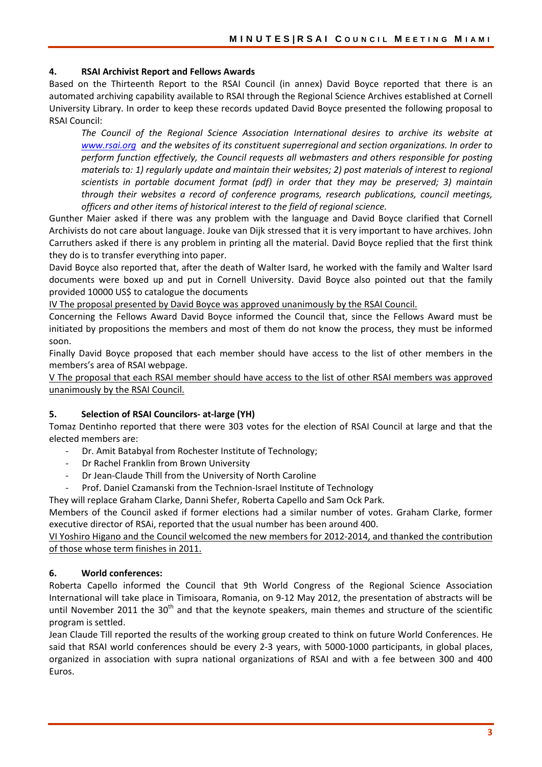#### **4. RSAI Archivist Report and Fellows Awards**

Based on the Thirteenth Report to the RSAI Council (in annex) David Boyce reported that there is an automated archiving capability available to RSAI through the Regional Science Archives established at Cornell University Library. In order to keep these records updated David Boyce presented the following proposal to RSAI Council:

*The Council of the Regional Science Association International desires to archive its website at www.rsai.org and the websites of its constituent superregional and section organizations. In order to perform function effectively, the Council requests all webmasters and others responsible for posting materials to: 1) regularly update and maintain their websites; 2) post materials of interest to regional scientists in portable document format (pdf) in order that they may be preserved; 3) maintain through their websites a record of conference programs, research publications, council meetings, officers and other items of historical interest to the field of regional science.*

Gunther Maier asked if there was any problem with the language and David Boyce clarified that Cornell Archivists do not care about language. Jouke van Dijk stressed that it is very important to have archives. John Carruthers asked if there is any problem in printing all the material. David Boyce replied that the first think they do is to transfer everything into paper.

David Boyce also reported that, after the death of Walter Isard, he worked with the family and Walter Isard documents were boxed up and put in Cornell University. David Boyce also pointed out that the family provided 10000 US\$ to catalogue the documents

IV The proposal presented by David Boyce was approved unanimously by the RSAI Council.

Concerning the Fellows Award David Boyce informed the Council that, since the Fellows Award must be initiated by propositions the members and most of them do not know the process, they must be informed soon.

Finally David Boyce proposed that each member should have access to the list of other members in the members's area of RSAI webpage.

V The proposal that each RSAI member should have access to the list of other RSAI members was approved unanimously by the RSAI Council.

#### **5. Selection of RSAI Councilors‐ at‐large (YH)**

Tomaz Dentinho reported that there were 303 votes for the election of RSAI Council at large and that the elected members are:

- ‐ Dr. Amit Batabyal from Rochester Institute of Technology;
- ‐ Dr Rachel Franklin from Brown University
- ‐ Dr Jean‐Claude Thill from the University of North Caroline
- ‐ Prof. Daniel Czamanski from the Technion‐Israel Institute of Technology

They will replace Graham Clarke, Danni Shefer, Roberta Capello and Sam Ock Park.

Members of the Council asked if former elections had a similar number of votes. Graham Clarke, former executive director of RSAi, reported that the usual number has been around 400.

VI Yoshiro Higano and the Council welcomed the new members for 2012‐2014, and thanked the contribution of those whose term finishes in 2011.

## **6. World conferences:**

Roberta Capello informed the Council that 9th World Congress of the Regional Science Association International will take place in Timisoara, Romania, on 9‐12 May 2012, the presentation of abstracts will be until November 2011 the 30<sup>th</sup> and that the keynote speakers, main themes and structure of the scientific program is settled.

Jean Claude Till reported the results of the working group created to think on future World Conferences. He said that RSAI world conferences should be every 2-3 years, with 5000-1000 participants, in global places, organized in association with supra national organizations of RSAI and with a fee between 300 and 400 Euros.